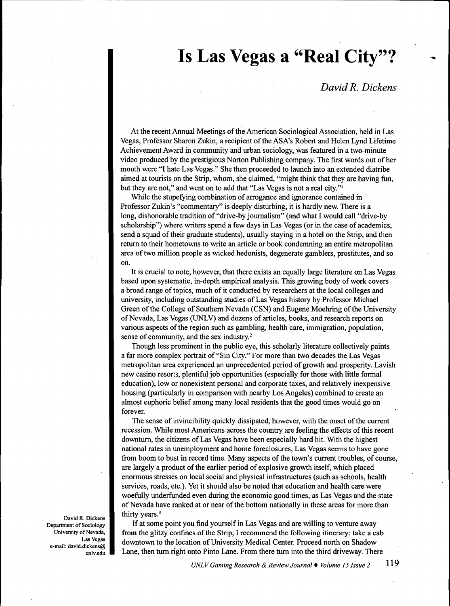## **Is Las Vegas a "Real City"?**

## *David R. Dickens*

At the recent Annual Meetings of the American Sociological Association, held in Las Vegas, Professor Sharon Zukin, a recipient of tbe ASA's Robert and Helen Lynd Lifetime Achievement Award in community and urban sociology, was featured in a two-minute video produced by the prestigious Norton Publishing company. The first words out of her mouth were "I hate Las Vegas." She then proceeded to launch into an extended diatribe aimed at tourists on the Strip, whom, she claimed, "migbt think that tbey are having fun, but they are not," and went on to add that "Las Vegas is not a real city."'

Wbile the stupefying combination of arrogance and ignorance contained in Professor Zukin's "commentary" is deeply disturbing, it is hardly new. There is a long, dishonorable tradition of "drive-by journalism" (and what I would call "drive-by scholarship") where writers spend a few days in Las Vegas (or in the case of academics, send a squad of tbeir graduate students), usually staying in a hotel on the Strip, and then retum to tbeir hometowns to write an article or book condemning an entire metropolitan area of two million people as wicked hedonists, degenerate gamblers, prostitutes, and so on.

It is crucial to note, however, that there exists an equally large literature on Las Vegas based upon systematic, in-depth empirical analysis. This growing body of work covers a broad range of topics, much of it conducted by researchers at the local colleges and university, including outstanding studies of Las Vegas history by Professor Michael Green of the College of Southern Nevada (CSN) and Eugene Moehring of the University of Nevada, Las Vegas (UNLV) and dozens of articles, books, and research reports on various aspects of the region such as gambling, health care, immigration, population, sense of community, and the sex industry.<sup>2</sup>

Though less prominent in the public eye, this scholarly literature collectively paints a far more complex portrait of "Sin City." For more tban two decades the Las Vegas metropolitan area experienced an unprecedented period of growth and prosperity. Lavish new casino resorts, plentiful job opportunities (especially for those with little formal education), low or nonexistent personal and corporate taxes, and relatively inexpensive housing (particularly in comparison with nearby Los Angeles) combined to create an almost euphoric belief among many local residents that the good times would go on forever.

The sense of invincibility quickly dissipated, however, with the onset of the current recession. While most Americans across the country are feeling tbe effects of tbis recent downturn, the citizens of Las Vegas have been especially hard hit. With the highest national rates in unemployment and home foreclosures. Las Vegas seems to have gone from boom to bust in record time. Many aspects of the town's current troubles, of course, are largely a product of the earlier period of explosive growth itself, which placed enormous stresses on local social and physical infrastructures (such as schools, health services, roads, etc.). Yet it should also be noted that education and health care were woefully underfunded even during the economic good times, as Las Vegas and the state of Nevada have ranked at or near of the bottom nationally in these areas for more than thirty years.'

If at some point you find yourself in Las Vegas and are willing to venture away from the glitzy confines of the Strip, I recommend the following itinerary: take a cab downtown to the location of University Medical Center. Proceed north on Shadow Lane, then tum right onto Pinto Lane. From there tum into the third driveway. There

David R. Dickens Department of Sociology University of Nevada, Las Vegas e-mail: david.dickens@ unlv.edu